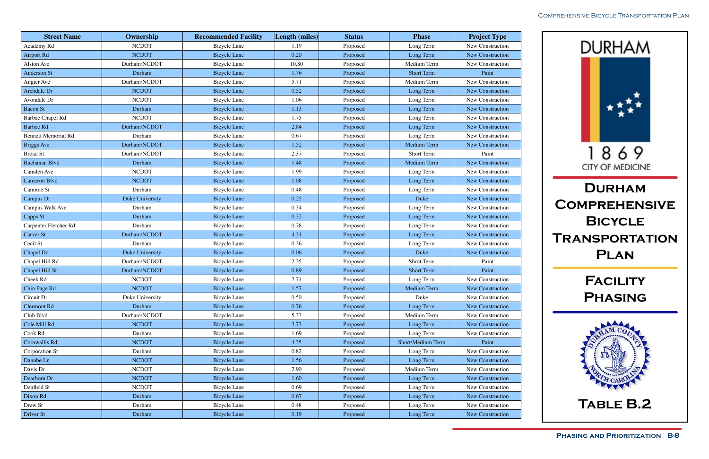

| <b>Street Name</b>         | Ownership       | <b>Recommended Facility</b> | Length (miles) | <b>Status</b> | <b>Phase</b>      | <b>Project Type</b>     |
|----------------------------|-----------------|-----------------------------|----------------|---------------|-------------------|-------------------------|
| Academy Rd                 | <b>NCDOT</b>    | <b>Bicycle Lane</b>         | 1.19           | Proposed      | Long Term         | New Construction        |
| <b>Airport Rd</b>          | <b>NCDOT</b>    | <b>Bicycle Lane</b>         | 0.20           | Proposed      | Long Term         | New Construction        |
| Alston Ave                 | Durham/NCDOT    | <b>Bicycle Lane</b>         | 10.80          | Proposed      | Medium Term       | New Construction        |
| <b>Anderson St</b>         | Durham          | <b>Bicycle Lane</b>         | 1.76           | Proposed      | <b>Short Term</b> | Paint                   |
| Angier Ave                 | Durham/NCDOT    | <b>Bicycle Lane</b>         | 5.71           | Proposed      | Medium Term       | New Construction        |
| Archdale Dr                | <b>NCDOT</b>    | <b>Bicycle Lane</b>         | 0.52           | Proposed      | Long Term         | New Construction        |
| Avondale Dr                | <b>NCDOT</b>    | <b>Bicycle Lane</b>         | 1.06           | Proposed      | Long Term         | New Construction        |
| <b>Bacon St</b>            | Durham          | <b>Bicycle Lane</b>         | 1.13           | Proposed      | Long Term         | <b>New Construction</b> |
| Barbee Chapel Rd           | <b>NCDOT</b>    | <b>Bicycle Lane</b>         | 1.75           | Proposed      | Long Term         | New Construction        |
| <b>Barbee Rd</b>           | Durham/NCDOT    | <b>Bicycle Lane</b>         | 2.84           | Proposed      | Long Term         | New Construction        |
| <b>Bennett Memorial Rd</b> | Durham          | <b>Bicycle Lane</b>         | 0.67           | Proposed      | Long Term         | New Construction        |
| <b>Briggs Ave</b>          | Durham/NCDOT    | <b>Bicycle Lane</b>         | 1.52           | Proposed      | Medium Term       | New Construction        |
| <b>Broad St</b>            | Durham/NCDOT    | <b>Bicycle Lane</b>         | 2.37           | Proposed      | Short Term        | Paint                   |
| <b>Buchanan Blvd</b>       | Durham          | <b>Bicycle Lane</b>         | 1.48           | Proposed      | Medium Term       | New Construction        |
| Camden Ave                 | <b>NCDOT</b>    | <b>Bicycle Lane</b>         | 1.99           | Proposed      | Long Term         | New Construction        |
| Cameron Blvd               | <b>NCDOT</b>    | <b>Bicycle Lane</b>         | 1.08           | Proposed      | Long Term         | New Construction        |
| Cammie St                  | Durham          | <b>Bicycle Lane</b>         | 0.48           | Proposed      | Long Term         | New Construction        |
| Campus Dr                  | Duke University | <b>Bicycle Lane</b>         | 0.25           | Proposed      | Duke              | New Construction        |
| Campus Walk Ave            | Durham          | <b>Bicycle Lane</b>         | 0.34           | Proposed      | Long Term         | New Construction        |
| Capps St                   | Durham          | <b>Bicycle Lane</b>         | 0.32           | Proposed      | Long Term         | New Construction        |
| Carpenter Fletcher Rd      | Durham          | <b>Bicycle Lane</b>         | 0.78           | Proposed      | Long Term         | New Construction        |
| <b>Carver St</b>           | Durham/NCDOT    | <b>Bicycle Lane</b>         | 4.31           | Proposed      | Long Term         | New Construction        |
| Cecil St                   | Durham          | <b>Bicycle Lane</b>         | 0.36           | Proposed      | Long Term         | New Construction        |
| Chapel Dr                  | Duke University | <b>Bicycle Lane</b>         | 0.06           | Proposed      | Duke              | New Construction        |
| Chapel Hill Rd             | Durham/NCDOT    | <b>Bicycle Lane</b>         | 2.35           | Proposed      | Shrot Term        | Paint                   |
| Chapel Hill St             | Durham/NCDOT    | <b>Bicycle Lane</b>         | 0.89           | Proposed      | <b>Short Term</b> | Paint                   |
| Cheek Rd                   | <b>NCDOT</b>    | <b>Bicycle Lane</b>         | 2.74           | Proposed      | Long Term         | New Construction        |
| Chin Page Rd               | <b>NCDOT</b>    | <b>Bicycle Lane</b>         | 1.57           | Proposed      | Medium Term       | New Construction        |
| Circuit Dr                 | Duke University | <b>Bicycle Lane</b>         | 0.50           | Proposed      | Duke              | New Construction        |
| <b>Clermont Rd</b>         | Durham          | <b>Bicycle Lane</b>         | 0.76           | Proposed      | Long Term         | New Construction        |
| Club Blvd                  | Durham/NCDOT    | <b>Bicycle Lane</b>         | 5.33           | Proposed      | Medium Term       | New Construction        |
| Cole Mill Rd               | <b>NCDOT</b>    | <b>Bicycle Lane</b>         | 3.73           | Proposed      | Long Term         | New Construction        |
| Cook Rd                    | Durham          | Bicycle Lane                | 1.69           | Proposed      | Long Term         | New Construction        |
| Cornwallis Rd              | <b>NCDOT</b>    | Bicycle Lane                | 4.35           | Proposed      | Short/Medium Term | Paint                   |
| Corporation St             | Durham          | <b>Bicycle Lane</b>         | 0.82           | Proposed      | Long Term         | New Construction        |
| Danube Ln                  | <b>NCDOT</b>    | <b>Bicycle Lane</b>         | 1.56           | Proposed      | Long Term         | New Construction        |
| Davis Dr                   | <b>NCDOT</b>    | <b>Bicycle Lane</b>         | 2.90           | Proposed      | Medium Term       | New Construction        |
| Dearborn Dr                | <b>NCDOT</b>    | <b>Bicycle Lane</b>         | 1.60           | Proposed      | Long Term         | New Construction        |
| Denfield St                | <b>NCDOT</b>    | <b>Bicycle Lane</b>         | 0.69           | Proposed      | Long Term         | New Construction        |
| Dixon Rd                   | Durham          | <b>Bicycle Lane</b>         | 0.67           | Proposed      | Long Term         | New Construction        |
| Drew St                    | Durham          | <b>Bicycle Lane</b>         | 0.48           | Proposed      | Long Term         | New Construction        |
| Driver St                  | Durham          | <b>Bicycle Lane</b>         | 0.19           | Proposed      | Long Term         | New Construction        |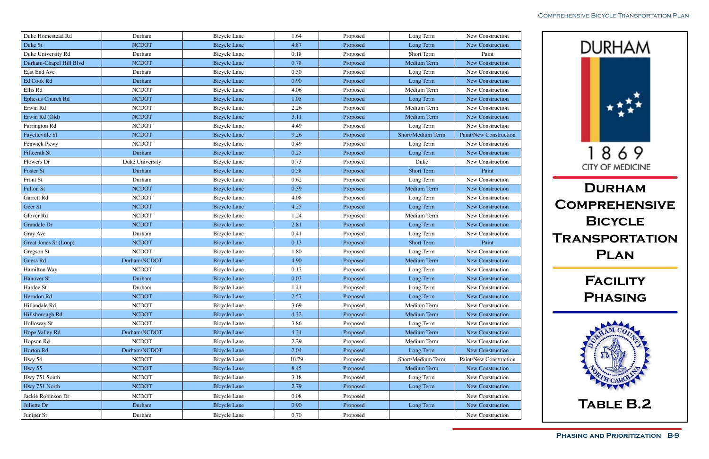

| Duke Homestead Rd        | Durham          | <b>Bicycle Lane</b> | 1.64  | Proposed | Long Term         | New Construction              |
|--------------------------|-----------------|---------------------|-------|----------|-------------------|-------------------------------|
| Duke St                  | <b>NCDOT</b>    | <b>Bicycle Lane</b> | 4.87  | Proposed | Long Term         | New Construction              |
| Duke University Rd       | Durham          | <b>Bicycle Lane</b> | 0.18  | Proposed | Short Term        | Paint                         |
| Durham-Chapel Hill Blvd  | <b>NCDOT</b>    | <b>Bicycle Lane</b> | 0.78  | Proposed | Medium Term       | New Construction              |
| East End Ave             | Durham          | <b>Bicycle Lane</b> | 0.50  | Proposed | Long Term         | New Construction              |
| Ed Cook Rd               | Durham          | <b>Bicycle Lane</b> | 0.90  | Proposed | Long Term         | New Construction              |
| Ellis Rd                 | <b>NCDOT</b>    | <b>Bicycle Lane</b> | 4.06  | Proposed | Medium Term       | New Construction              |
| <b>Ephesus Church Rd</b> | <b>NCDOT</b>    | <b>Bicycle Lane</b> | 1.05  | Proposed | Long Term         | New Construction              |
| Erwin Rd                 | <b>NCDOT</b>    | <b>Bicycle Lane</b> | 2.26  | Proposed | Medium Term       | New Construction              |
| Erwin Rd (Old)           | <b>NCDOT</b>    | <b>Bicycle Lane</b> | 3.11  | Proposed | Medium Term       | New Construction              |
| Farrington Rd            | <b>NCDOT</b>    | <b>Bicycle Lane</b> | 4.49  | Proposed | Long Term         | New Construction              |
| Fayetteville St          | <b>NCDOT</b>    | <b>Bicycle Lane</b> | 9.26  | Proposed | Short/Medium Term | <b>Paint/New Construction</b> |
| Fenwick Pkwy             | <b>NCDOT</b>    | <b>Bicycle Lane</b> | 0.49  | Proposed | Long Term         | New Construction              |
| Fifteenth St             | Durham          | <b>Bicycle Lane</b> | 0.25  | Proposed | Long Term         | New Construction              |
| Flowers Dr               | Duke University | <b>Bicycle Lane</b> | 0.73  | Proposed | Duke              | New Construction              |
| Foster St                | Durham          | <b>Bicycle Lane</b> | 0.58  | Proposed | <b>Short Term</b> | Paint                         |
| Front St                 | Durham          | <b>Bicycle Lane</b> | 0.62  | Proposed | Long Term         | New Construction              |
| <b>Fulton St</b>         | <b>NCDOT</b>    | <b>Bicycle Lane</b> | 0.39  | Proposed | Medium Term       | New Construction              |
| Garrett Rd               | <b>NCDOT</b>    | <b>Bicycle Lane</b> | 4.08  | Proposed | Long Term         | New Construction              |
| Geer St                  | <b>NCDOT</b>    | <b>Bicycle Lane</b> | 4.25  | Proposed | Long Term         | New Construction              |
| Glover Rd                | <b>NCDOT</b>    | <b>Bicycle Lane</b> | 1.24  | Proposed | Medium Term       | New Construction              |
| Grandale Dr              | <b>NCDOT</b>    | <b>Bicycle Lane</b> | 2.81  | Proposed | Long Term         | New Construction              |
| Gray Ave                 | Durham          | <b>Bicycle Lane</b> | 0.41  | Proposed | Long Term         | New Construction              |
| Great Jones St (Loop)    | <b>NCDOT</b>    | <b>Bicycle Lane</b> | 0.13  | Proposed | <b>Short Term</b> | Paint                         |
| Gregson St               | <b>NCDOT</b>    | <b>Bicycle Lane</b> | 1.80  | Proposed | Long Term         | New Construction              |
| <b>Guess Rd</b>          | Durham/NCDOT    | <b>Bicycle Lane</b> | 4.90  | Proposed | Medium Term       | New Construction              |
| Hamilton Way             | <b>NCDOT</b>    | <b>Bicycle Lane</b> | 0.13  | Proposed | Long Term         | New Construction              |
| Hanover St               | Durham          | <b>Bicycle Lane</b> | 0.03  | Proposed | Long Term         | New Construction              |
| Hardee St                | Durham          | <b>Bicycle Lane</b> | 1.41  | Proposed | Long Term         | New Construction              |
| Herndon Rd               | <b>NCDOT</b>    | <b>Bicycle Lane</b> | 2.57  | Proposed | Long Term         | New Construction              |
| Hillandale Rd            | <b>NCDOT</b>    | <b>Bicycle Lane</b> | 3.69  | Proposed | Medium Term       | New Construction              |
| Hillsborough Rd          | <b>NCDOT</b>    | <b>Bicycle Lane</b> | 4.32  | Proposed | Medium Term       | New Construction              |
| Holloway St              | <b>NCDOT</b>    | <b>Bicycle Lane</b> | 3.86  | Proposed | Long Term         | New Construction              |
| Hope Valley Rd           | Durham/NCDOT    | <b>Bicycle Lane</b> | 4.31  | Proposed | Medium Term       | New Construction              |
| Hopson Rd                | <b>NCDOT</b>    | <b>Bicycle Lane</b> | 2.29  | Proposed | Medium Term       | New Construction              |
| Horton Rd                | Durham/NCDOT    | <b>Bicycle Lane</b> | 2.04  | Proposed | Long Term         | New Construction              |
| Hwy 54                   | <b>NCDOT</b>    | <b>Bicycle Lane</b> | 10.79 | Proposed | Short/Medium Term | Paint/New Construction        |
| Hwy 55                   | <b>NCDOT</b>    | <b>Bicycle Lane</b> | 8.45  | Proposed | Medium Term       | New Construction              |
| Hwy 751 South            | <b>NCDOT</b>    | <b>Bicycle Lane</b> | 3.18  | Proposed | Long Term         | New Construction              |
| Hwy 751 North            | <b>NCDOT</b>    | <b>Bicycle Lane</b> | 2.79  | Proposed | Long Term         | New Construction              |
| Jackie Robinson Dr       | <b>NCDOT</b>    | <b>Bicycle Lane</b> | 0.08  | Proposed |                   | New Construction              |
| Juliette Dr              | Durham          | <b>Bicycle Lane</b> | 0.90  | Proposed | Long Term         | New Construction              |
| Juniper St               | Durham          | <b>Bicycle Lane</b> | 0.70  | Proposed |                   | New Construction              |
|                          |                 |                     |       |          |                   |                               |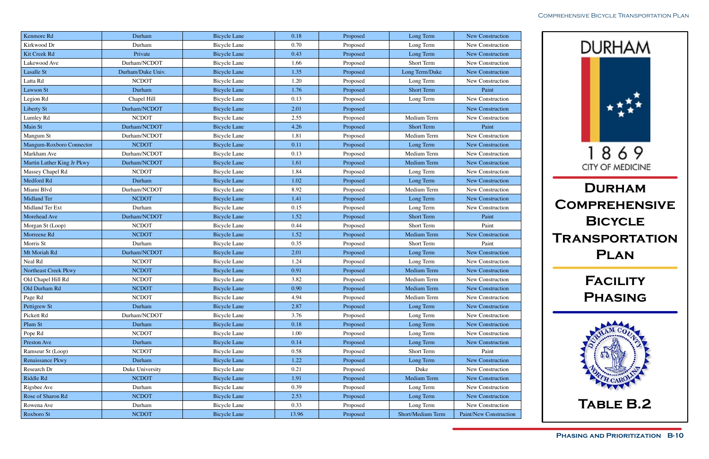

| Kenmore Rd                 | Durham            | <b>Bicycle Lane</b> | 0.18     | Proposed | Long Term         | New Construction        |
|----------------------------|-------------------|---------------------|----------|----------|-------------------|-------------------------|
| Kirkwood Dr                | Durham            | <b>Bicycle Lane</b> | 0.70     | Proposed | Long Term         | New Construction        |
| Kit Creek Rd               | Private           | <b>Bicycle Lane</b> | 0.43     | Proposed | Long Term         | New Construction        |
| Lakewood Ave               | Durham/NCDOT      | <b>Bicycle Lane</b> | 1.66     | Proposed | Short Term        | New Construction        |
| Lasalle St                 | Durham/Duke Univ. | <b>Bicycle Lane</b> | 1.35     | Proposed | Long Term/Duke    | <b>New Construction</b> |
| Latta Rd                   | <b>NCDOT</b>      | <b>Bicycle Lane</b> | 1.20     | Proposed | Long Term         | New Construction        |
| Lawson St                  | Durham            | <b>Bicycle Lane</b> | 1.76     | Proposed | <b>Short Term</b> | Paint                   |
| Legion Rd                  | Chapel Hill       | <b>Bicycle Lane</b> | 0.13     | Proposed | Long Term         | New Construction        |
| <b>Liberty St</b>          | Durham/NCDOT      | <b>Bicycle Lane</b> | 2.01     | Proposed |                   | New Construction        |
| Lumley Rd                  | <b>NCDOT</b>      | <b>Bicycle Lane</b> | 2.55     | Proposed | Medium Term       | New Construction        |
| Main St                    | Durham/NCDOT      | <b>Bicycle Lane</b> | 4.26     | Proposed | <b>Short Term</b> | Paint                   |
| Mangum St                  | Durham/NCDOT      | <b>Bicycle Lane</b> | 1.81     | Proposed | Medium Term       | New Construction        |
| Mangum-Roxboro Connector   | <b>NCDOT</b>      | <b>Bicycle Lane</b> | 0.11     | Proposed | Long Term         | New Construction        |
| Markham Ave                | Durham/NCDOT      | <b>Bicycle Lane</b> | 0.13     | Proposed | Medium Term       | New Construction        |
| Martin Luther King Jr Pkwy | Durham/NCDOT      | <b>Bicycle Lane</b> | 1.61     | Proposed | Medium Term       | New Construction        |
| Massey Chapel Rd           | <b>NCDOT</b>      | <b>Bicycle Lane</b> | 1.84     | Proposed | Long Term         | New Construction        |
| Medford Rd                 | Durham            | <b>Bicycle Lane</b> | 1.02     | Proposed | Long Term         | New Construction        |
| Miami Blvd                 | Durham/NCDOT      | <b>Bicycle Lane</b> | 8.92     | Proposed | Medium Term       | New Construction        |
| <b>Midland Ter</b>         | <b>NCDOT</b>      | <b>Bicycle Lane</b> | 1.41     | Proposed | Long Term         | New Construction        |
| Midland Ter Ext            | Durham            | <b>Bicycle Lane</b> | 0.15     | Proposed | Long Term         | New Construction        |
| Morehead Ave               | Durham/NCDOT      | <b>Bicycle Lane</b> | 1.52     | Proposed | <b>Short Term</b> | Paint                   |
| Morgan St (Loop)           | <b>NCDOT</b>      | <b>Bicycle Lane</b> | 0.44     | Proposed | Short Term        | Paint                   |
| Morreene Rd                | <b>NCDOT</b>      | <b>Bicycle Lane</b> | 1.52     | Proposed | Medium Term       | New Construction        |
| Morris St                  | Durham            | <b>Bicycle Lane</b> | 0.35     | Proposed | Short Term        | Paint                   |
| Mt Moriah Rd               | Durham/NCDOT      | <b>Bicycle Lane</b> | 2.01     | Proposed | Long Term         | New Construction        |
| Neal Rd                    | <b>NCDOT</b>      | <b>Bicycle Lane</b> | 1.24     | Proposed | Long Term         | New Construction        |
| Northeast Creek Pkwy       | <b>NCDOT</b>      | <b>Bicycle Lane</b> | 0.91     | Proposed | Medium Term       | New Construction        |
| Old Chapel Hill Rd         | <b>NCDOT</b>      | <b>Bicycle Lane</b> | 3.82     | Proposed | Medium Term       | New Construction        |
| Old Durham Rd              | <b>NCDOT</b>      | <b>Bicycle Lane</b> | $0.90\,$ | Proposed | Medium Term       | New Construction        |
| Page Rd                    | <b>NCDOT</b>      | Bicycle Lane        | 4.94     | Proposed | Medium Term       | New Construction        |
| Pettigrew St               | Durham            | <b>Bicycle Lane</b> | 2.87     | Proposed | Long Term         | New Construction        |
| Pickett Rd                 | Durham/NCDOT      | <b>Bicycle Lane</b> | 3.76     | Proposed | Long Term         | New Construction        |
| Plum St                    | Durham            | <b>Bicycle Lane</b> | 0.18     | Proposed | Long Term         | New Construction        |
| Pope Rd                    | <b>NCDOT</b>      | Bicycle Lane        | 1.00     | Proposed | Long Term         | New Construction        |
| Preston Ave                | Durham            | <b>Bicycle Lane</b> | 0.14     | Proposed | Long Term         | New Construction        |
| Ramseur St (Loop)          | <b>NCDOT</b>      | <b>Bicycle Lane</b> | 0.58     | Proposed | Short Term        | Paint                   |
| Renaissance Pkwy           | Durham            | <b>Bicycle Lane</b> | 1.22     | Proposed | Long Term         | New Construction        |
| Research Dr                | Duke University   | <b>Bicycle Lane</b> | 0.21     | Proposed | Duke              | New Construction        |
| Riddle Rd                  | <b>NCDOT</b>      | <b>Bicycle Lane</b> | 1.91     | Proposed | Medium Term       | New Construction        |
| Rigsbee Ave                | Durham            | <b>Bicycle Lane</b> | 0.39     | Proposed | Long Term         | New Construction        |
| Rose of Sharon Rd          | <b>NCDOT</b>      | <b>Bicycle Lane</b> | 2.53     | Proposed | Long Term         | New Construction        |
| Rowena Ave                 | Durham            | Bicycle Lane        | 0.33     | Proposed | Long Term         | New Construction        |
| Roxboro St                 | <b>NCDOT</b>      | <b>Bicycle Lane</b> | 13.96    | Proposed | Short/Medium Term | Paint/New Construction  |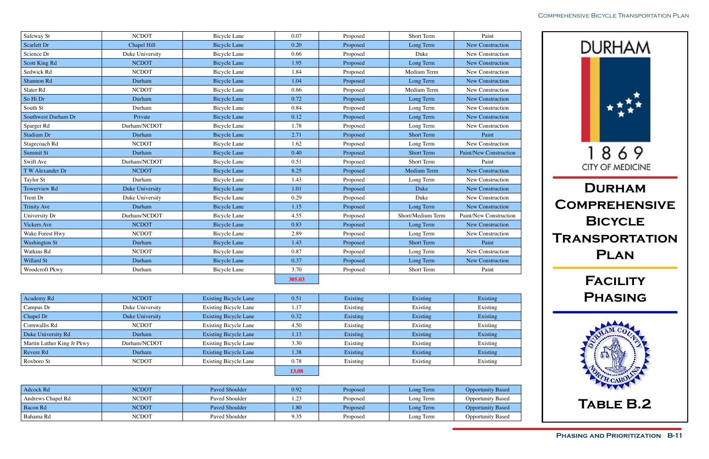

| Safeway St           | <b>NCDOT</b>    | <b>Bicycle Lane</b> | 0.07   | Proposed | Short Term        | Paint                         |
|----------------------|-----------------|---------------------|--------|----------|-------------------|-------------------------------|
| <b>Scarlett Dr</b>   | Chapel Hill     | <b>Bicycle Lane</b> | 0.20   | Proposed | Long Term         | <b>New Construction</b>       |
| Science Dr           | Duke University | <b>Bicycle Lane</b> | 0.66   | Proposed | Duke              | New Construction              |
| <b>Scott King Rd</b> | <b>NCDOT</b>    | <b>Bicycle Lane</b> | 1.95   | Proposed | Long Term         | New Construction              |
| Sedwick Rd           | <b>NCDOT</b>    | <b>Bicycle Lane</b> | 1.84   | Proposed | Medium Term       | New Construction              |
| Shannon Rd           | Durham          | <b>Bicycle Lane</b> | 1.04   | Proposed | Long Term         | <b>New Construction</b>       |
| Slater Rd            | <b>NCDOT</b>    | <b>Bicycle Lane</b> | 0.66   | Proposed | Medium Term       | New Construction              |
| So Hi Dr             | Durham          | <b>Bicycle Lane</b> | 0.72   | Proposed | Long Term         | <b>New Construction</b>       |
| South St             | Durham          | <b>Bicycle Lane</b> | 0.84   | Proposed | Long Term         | New Construction              |
| Southwest Durham Dr  | Private         | <b>Bicycle Lane</b> | 0.12   | Proposed | Long Term         | <b>New Construction</b>       |
| Sparger Rd           | Durham/NCDOT    | <b>Bicycle Lane</b> | 1.78   | Proposed | Long Term         | New Construction              |
| <b>Stadium Dr</b>    | Durham          | <b>Bicycle Lane</b> | 2.71   | Proposed | <b>Short Term</b> | Paint                         |
| Stagecoach Rd        | <b>NCDOT</b>    | <b>Bicycle Lane</b> | 1.62   | Proposed | Long Term         | New Construction              |
| Summit St            | Durham          | <b>Bicycle Lane</b> | 0.40   | Proposed | <b>Short Term</b> | <b>Paint/New Construction</b> |
| Swift Ave            | Durham/NCDOT    | <b>Bicycle Lane</b> | 0.51   | Proposed | Short Term        | Paint                         |
| T W Alexander Dr     | <b>NCDOT</b>    | <b>Bicycle Lane</b> | 8.25   | Proposed | Medium Term       | New Construction              |
| Taylor St            | Durham          | <b>Bicycle Lane</b> | 1.43   | Proposed | Long Term         | New Construction              |
| <b>Towerview Rd</b>  | Duke University | <b>Bicycle Lane</b> | 1.01   | Proposed | Duke              | <b>New Construction</b>       |
| Trent Dr             | Duke University | <b>Bicycle Lane</b> | 0.29   | Proposed | Duke              | New Construction              |
| <b>Trinity Ave</b>   | Durham          | <b>Bicycle Lane</b> | 1.15   | Proposed | Long Term         | <b>New Construction</b>       |
| University Dr        | Durham/NCDOT    | <b>Bicycle Lane</b> | 4.55   | Proposed | Short/Medium Term | Paint/New Construction        |
| <b>Vickers Ave</b>   | <b>NCDOT</b>    | <b>Bicycle Lane</b> | 0.83   | Proposed | Long Term         | <b>New Construction</b>       |
| Wake Forest Hwy      | <b>NCDOT</b>    | <b>Bicycle Lane</b> | 2.89   | Proposed | Long Term         | New Construction              |
| <b>Washington St</b> | Durham          | <b>Bicycle Lane</b> | 1.43   | Proposed | <b>Short Term</b> | Paint                         |
| Watkins Rd           | <b>NCDOT</b>    | <b>Bicycle Lane</b> | 0.87   | Proposed | Long Term         | New Construction              |
| <b>Willard St</b>    | Durham          | <b>Bicycle Lane</b> | 0.37   | Proposed | Long Term         | New Construction              |
| Woodcroft Pkwy       | Durham          | <b>Bicycle Lane</b> | 3.70   | Proposed | Short Term        | Paint                         |
|                      |                 |                     | 305.03 |          |                   |                               |

| Academy Rd                 | <b>NCDOT</b>    | <b>Existing Bicycle Lane</b> | 0.51  | Existing | Existing | Existing |
|----------------------------|-----------------|------------------------------|-------|----------|----------|----------|
| Campus Dr                  | Duke University | <b>Existing Bicycle Lane</b> | 1.17  | Existing | Existing | Existing |
| Chapel Dr                  | Duke University | <b>Existing Bicycle Lane</b> | 0.32  | Existing | Existing | Existing |
| Cornwallis Rd              | <b>NCDOT</b>    | <b>Existing Bicycle Lane</b> | 4.50  | Existing | Existing | Existing |
| Duke University Rd         | Durham          | <b>Existing Bicycle Lane</b> | 1.13  | Existing | Existing | Existing |
| Martin Luther King Jr Pkwy | Durham/NCDOT    | <b>Existing Bicycle Lane</b> | 3.30  | Existing | Existing | Existing |
| Revere Rd                  | Durham          | <b>Existing Bicycle Lane</b> | 1.38  | Existing | Existing | Existing |
| Roxboro St                 | <b>NCDOT</b>    | <b>Existing Bicycle Lane</b> | 0.78  | Existing | Existing | Existing |
|                            |                 |                              | 13.08 |          |          |          |

| Adcock Rd         | <b>NCDOT</b> | Paved Shoulder | 0.92                   | Proposed | Long Term | <b>Opportunity Based</b> |
|-------------------|--------------|----------------|------------------------|----------|-----------|--------------------------|
| Andrews Chapel Rd | <b>NCDOT</b> | Paved Shoulder | $2^{\circ}$<br>ن کے با | Proposed | Long Term | <b>Opportunity Based</b> |
| Bacon Rd          | <b>NCDOT</b> | Paved Shoulder | 1.80                   | Proposed | Long Term | <b>Opportunity Based</b> |
| Bahama Rd         | <b>NCDOT</b> | Paved Shoulder | 9.35                   | Proposed | Long Term | <b>Opportunity Based</b> |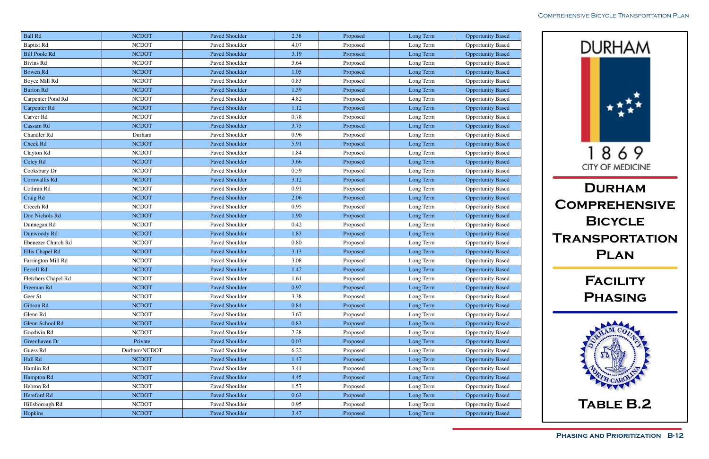

| <b>Ball Rd</b>       | <b>NCDOT</b> | Paved Shoulder        | 2.38     | Proposed | Long Term | <b>Opportunity Based</b> |
|----------------------|--------------|-----------------------|----------|----------|-----------|--------------------------|
| <b>Baptist Rd</b>    | <b>NCDOT</b> | Paved Shoulder        | 4.07     | Proposed | Long Term | <b>Opportunity Based</b> |
| <b>Bill Poole Rd</b> | <b>NCDOT</b> | Paved Shoulder        | 3.19     | Proposed | Long Term | <b>Opportunity Based</b> |
| <b>Bivins Rd</b>     | <b>NCDOT</b> | Paved Shoulder        | 3.64     | Proposed | Long Term | <b>Opportunity Based</b> |
| <b>Bowen Rd</b>      | <b>NCDOT</b> | Paved Shoulder        | 1.05     | Proposed | Long Term | <b>Opportunity Based</b> |
| Boyce Mill Rd        | <b>NCDOT</b> | Paved Shoulder        | 0.83     | Proposed | Long Term | <b>Opportunity Based</b> |
| <b>Burton Rd</b>     | <b>NCDOT</b> | <b>Paved Shoulder</b> | 1.59     | Proposed | Long Term | <b>Opportunity Based</b> |
| Carpenter Pond Rd    | <b>NCDOT</b> | Paved Shoulder        | 4.82     | Proposed | Long Term | <b>Opportunity Based</b> |
| Carpenter Rd         | <b>NCDOT</b> | Paved Shoulder        | 1.12     | Proposed | Long Term | <b>Opportunity Based</b> |
| Carver Rd            | <b>NCDOT</b> | Paved Shoulder        | 0.78     | Proposed | Long Term | <b>Opportunity Based</b> |
| Cassam Rd            | <b>NCDOT</b> | Paved Shoulder        | 3.75     | Proposed | Long Term | <b>Opportunity Based</b> |
| Chandler Rd          | Durham       | Paved Shoulder        | 0.96     | Proposed | Long Term | <b>Opportunity Based</b> |
| Cheek Rd             | <b>NCDOT</b> | Paved Shoulder        | 5.91     | Proposed | Long Term | <b>Opportunity Based</b> |
| Clayton Rd           | <b>NCDOT</b> | Paved Shoulder        | 1.84     | Proposed | Long Term | <b>Opportunity Based</b> |
| Coley Rd             | <b>NCDOT</b> | <b>Paved Shoulder</b> | 3.66     | Proposed | Long Term | <b>Opportunity Based</b> |
| Cooksbury Dr         | <b>NCDOT</b> | Paved Shoulder        | 0.59     | Proposed | Long Term | <b>Opportunity Based</b> |
| Cornwallis Rd        | <b>NCDOT</b> | Paved Shoulder        | 3.12     | Proposed | Long Term | <b>Opportunity Based</b> |
| Cothran Rd           | <b>NCDOT</b> | Paved Shoulder        | 0.91     | Proposed | Long Term | <b>Opportunity Based</b> |
| Craig Rd             | <b>NCDOT</b> | Paved Shoulder        | 2.06     | Proposed | Long Term | <b>Opportunity Based</b> |
| Creech Rd            | <b>NCDOT</b> | Paved Shoulder        | 0.95     | Proposed | Long Term | <b>Opportunity Based</b> |
| Doc Nichols Rd       | <b>NCDOT</b> | Paved Shoulder        | 1.90     | Proposed | Long Term | <b>Opportunity Based</b> |
| Dunnegan Rd          | <b>NCDOT</b> | Paved Shoulder        | 0.42     | Proposed | Long Term | <b>Opportunity Based</b> |
| Dunwoody Rd          | <b>NCDOT</b> | Paved Shoulder        | 1.83     | Proposed | Long Term | <b>Opportunity Based</b> |
| Ebenezer Church Rd   | <b>NCDOT</b> | Paved Shoulder        | $0.80\,$ | Proposed | Long Term | <b>Opportunity Based</b> |
| Ellis Chapel Rd      | <b>NCDOT</b> | Paved Shoulder        | 3.13     | Proposed | Long Term | <b>Opportunity Based</b> |
| Farrington Mill Rd   | <b>NCDOT</b> | Paved Shoulder        | 3.08     | Proposed | Long Term | <b>Opportunity Based</b> |
| Ferrell Rd           | <b>NCDOT</b> | Paved Shoulder        | 1.42     | Proposed | Long Term | <b>Opportunity Based</b> |
| Fletchers Chapel Rd  | <b>NCDOT</b> | Paved Shoulder        | 1.61     | Proposed | Long Term | <b>Opportunity Based</b> |
| Freeman Rd           | <b>NCDOT</b> | <b>Paved Shoulder</b> | $0.92\,$ | Proposed | Long Term | <b>Opportunity Based</b> |
| Geer St              | <b>NCDOT</b> | Paved Shoulder        | 3.38     | Proposed | Long Term | <b>Opportunity Based</b> |
| Gibson Rd            | <b>NCDOT</b> | Paved Shoulder        | 0.84     | Proposed | Long Term | <b>Opportunity Based</b> |
| Glenn Rd             | <b>NCDOT</b> | Paved Shoulder        | 3.67     | Proposed | Long Term | <b>Opportunity Based</b> |
| Glenn School Rd      | <b>NCDOT</b> | Paved Shoulder        | 0.83     | Proposed | Long Term | <b>Opportunity Based</b> |
| Goodwin Rd           | <b>NCDOT</b> | Paved Shoulder        | 2.28     | Proposed | Long Term | <b>Opportunity Based</b> |
| Greenhaven Dr        | Private      | Paved Shoulder        | 0.03     | Proposed | Long Term | <b>Opportunity Based</b> |
| Guess Rd             | Durham/NCDOT | Paved Shoulder        | 6.22     | Proposed | Long Term | <b>Opportunity Based</b> |
| Hall Rd              | <b>NCDOT</b> | Paved Shoulder        | 1.47     | Proposed | Long Term | <b>Opportunity Based</b> |
| Hamlin Rd            | <b>NCDOT</b> | Paved Shoulder        | 3.41     | Proposed | Long Term | <b>Opportunity Based</b> |
| Hampton Rd           | <b>NCDOT</b> | Paved Shoulder        | 4.45     | Proposed | Long Term | <b>Opportunity Based</b> |
| Hebron Rd            | <b>NCDOT</b> | Paved Shoulder        | 1.57     | Proposed | Long Term | <b>Opportunity Based</b> |
| Hereford Rd          | <b>NCDOT</b> | Paved Shoulder        | 0.63     | Proposed | Long Term | <b>Opportunity Based</b> |
| Hillsborough Rd      | <b>NCDOT</b> | Paved Shoulder        | 0.95     | Proposed | Long Term | <b>Opportunity Based</b> |
| Hopkins              | <b>NCDOT</b> | Paved Shoulder        | 3.47     | Proposed | Long Term | <b>Opportunity Based</b> |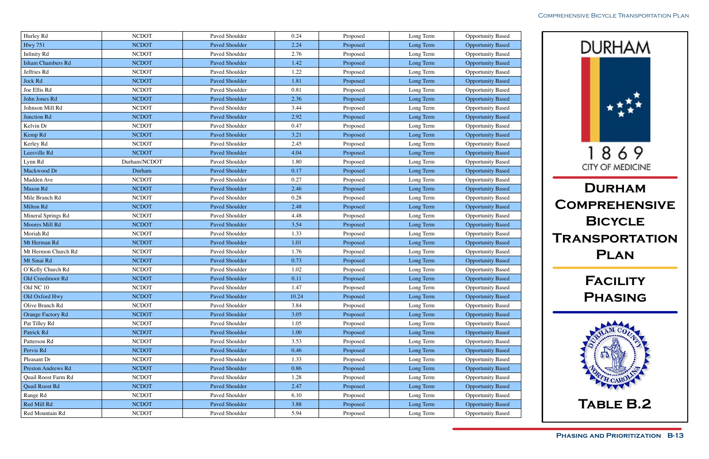

| Hurley Rd                | <b>NCDOT</b> | Paved Shoulder        | 0.24     | Proposed | Long Term | <b>Opportunity Based</b> |
|--------------------------|--------------|-----------------------|----------|----------|-----------|--------------------------|
| <b>Hwy 751</b>           | <b>NCDOT</b> | Paved Shoulder        | 2.24     | Proposed | Long Term | <b>Opportunity Based</b> |
| <b>Infinity Rd</b>       | <b>NCDOT</b> | Paved Shoulder        | 2.76     | Proposed | Long Term | <b>Opportunity Based</b> |
| <b>Isham Chambers Rd</b> | <b>NCDOT</b> | Paved Shoulder        | 1.42     | Proposed | Long Term | <b>Opportunity Based</b> |
| Jeffries Rd              | <b>NCDOT</b> | Paved Shoulder        | 1.22     | Proposed | Long Term | <b>Opportunity Based</b> |
| Jock Rd                  | <b>NCDOT</b> | Paved Shoulder        | 1.81     | Proposed | Long Term | <b>Opportunity Based</b> |
| Joe Ellis Rd             | <b>NCDOT</b> | Paved Shoulder        | 0.81     | Proposed | Long Term | <b>Opportunity Based</b> |
| John Jones Rd            | <b>NCDOT</b> | Paved Shoulder        | 2.36     | Proposed | Long Term | <b>Opportunity Based</b> |
| Johnson Mill Rd          | <b>NCDOT</b> | Paved Shoulder        | 3.44     | Proposed | Long Term | <b>Opportunity Based</b> |
| Junction Rd              | <b>NCDOT</b> | Paved Shoulder        | 2.92     | Proposed | Long Term | <b>Opportunity Based</b> |
| Kelvin Dr                | <b>NCDOT</b> | Paved Shoulder        | 0.47     | Proposed | Long Term | <b>Opportunity Based</b> |
| Kemp Rd                  | <b>NCDOT</b> | Paved Shoulder        | 3.21     | Proposed | Long Term | <b>Opportunity Based</b> |
| Kerley Rd                | <b>NCDOT</b> | Paved Shoulder        | 2.45     | Proposed | Long Term | <b>Opportunity Based</b> |
| Leesville Rd             | <b>NCDOT</b> | Paved Shoulder        | 4.04     | Proposed | Long Term | <b>Opportunity Based</b> |
| Lynn Rd                  | Durham/NCDOT | Paved Shoulder        | 1.80     | Proposed | Long Term | <b>Opportunity Based</b> |
| Mackwood Dr              | Durham       | <b>Paved Shoulder</b> | 0.17     | Proposed | Long Term | <b>Opportunity Based</b> |
| Madden Ave               | <b>NCDOT</b> | Paved Shoulder        | 0.27     | Proposed | Long Term | <b>Opportunity Based</b> |
| Mason Rd                 | <b>NCDOT</b> | Paved Shoulder        | 2.46     | Proposed | Long Term | <b>Opportunity Based</b> |
| Mile Branch Rd           | <b>NCDOT</b> | Paved Shoulder        | 0.28     | Proposed | Long Term | Opportunity Based        |
| Milton Rd                | <b>NCDOT</b> | <b>Paved Shoulder</b> | 2.48     | Proposed | Long Term | <b>Opportunity Based</b> |
| Mineral Springs Rd       | <b>NCDOT</b> | Paved Shoulder        | 4.48     | Proposed | Long Term | <b>Opportunity Based</b> |
| Moores Mill Rd           | <b>NCDOT</b> | Paved Shoulder        | 3.54     | Proposed | Long Term | <b>Opportunity Based</b> |
| Moriah Rd                | <b>NCDOT</b> | Paved Shoulder        | 1.33     | Proposed | Long Term | <b>Opportunity Based</b> |
| Mt Herman Rd             | <b>NCDOT</b> | Paved Shoulder        | 1.01     | Proposed | Long Term | <b>Opportunity Based</b> |
| Mt Hermon Church Rd      | <b>NCDOT</b> | Paved Shoulder        | 1.76     | Proposed | Long Term | <b>Opportunity Based</b> |
| Mt Sinai Rd              | <b>NCDOT</b> | Paved Shoulder        | 0.73     | Proposed | Long Term | <b>Opportunity Based</b> |
| O'Kelly Church Rd        | <b>NCDOT</b> | Paved Shoulder        | 1.02     | Proposed | Long Term | <b>Opportunity Based</b> |
| Old Creedmoor Rd         | <b>NCDOT</b> | Paved Shoulder        | 0.11     | Proposed | Long Term | <b>Opportunity Based</b> |
| Old NC 10                | <b>NCDOT</b> | Paved Shoulder        | 1.47     | Proposed | Long Term | <b>Opportunity Based</b> |
| Old Oxford Hwy           | <b>NCDOT</b> | Paved Shoulder        | 10.24    | Proposed | Long Term | <b>Opportunity Based</b> |
| Olive Branch Rd          | <b>NCDOT</b> | Paved Shoulder        | 3.84     | Proposed | Long Term | <b>Opportunity Based</b> |
| <b>Orange Factory Rd</b> | <b>NCDOT</b> | Paved Shoulder        | 3.05     | Proposed | Long Term | <b>Opportunity Based</b> |
| Pat Tilley Rd            | <b>NCDOT</b> | Paved Shoulder        | 1.05     | Proposed | Long Term | <b>Opportunity Based</b> |
| Patrick Rd               | <b>NCDOT</b> | Paved Shoulder        | $1.00\,$ | Proposed | Long Term | <b>Opportunity Based</b> |
| Patterson Rd             | <b>NCDOT</b> | Paved Shoulder        | 3.53     | Proposed | Long Term | <b>Opportunity Based</b> |
| Pervis Rd                | <b>NCDOT</b> | Paved Shoulder        | 0.46     | Proposed | Long Term | <b>Opportunity Based</b> |
| Pleasant Dr              | <b>NCDOT</b> | Paved Shoulder        | 1.33     | Proposed | Long Term | <b>Opportunity Based</b> |
| Preston Andrews Rd       | <b>NCDOT</b> | Paved Shoulder        | 0.86     | Proposed | Long Term | <b>Opportunity Based</b> |
| Quail Roost Farm Rd      | <b>NCDOT</b> | Paved Shoulder        | 1.28     | Proposed | Long Term | <b>Opportunity Based</b> |
| <b>Quail Roost Rd</b>    | <b>NCDOT</b> | Paved Shoulder        | 2.47     | Proposed | Long Term | <b>Opportunity Based</b> |
| Range Rd                 | <b>NCDOT</b> | Paved Shoulder        | 6.10     | Proposed | Long Term | <b>Opportunity Based</b> |
| Red Mill Rd              | <b>NCDOT</b> | Paved Shoulder        | 3.88     | Proposed | Long Term | <b>Opportunity Based</b> |
| Red Mountain Rd          | <b>NCDOT</b> | Paved Shoulder        | 5.94     | Proposed | Long Term | <b>Opportunity Based</b> |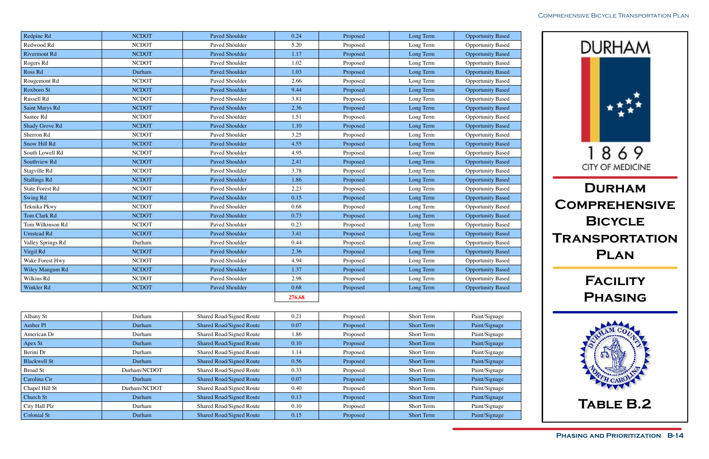

| Redpine Rd             | <b>NCDOT</b> | <b>Paved Shoulder</b> | 0.24   | Proposed | Long Term | <b>Opportunity Based</b> |
|------------------------|--------------|-----------------------|--------|----------|-----------|--------------------------|
| Redwood Rd             | <b>NCDOT</b> | Paved Shoulder        | 5.20   | Proposed | Long Term | <b>Opportunity Based</b> |
| <b>Rivermont Rd</b>    | <b>NCDOT</b> | <b>Paved Shoulder</b> | 1.17   | Proposed | Long Term | <b>Opportunity Based</b> |
| Rogers Rd              | <b>NCDOT</b> | Paved Shoulder        | 1.02   | Proposed | Long Term | <b>Opportunity Based</b> |
| Ross Rd                | Durham       | <b>Paved Shoulder</b> | 1.03   | Proposed | Long Term | <b>Opportunity Based</b> |
| Rougemont Rd           | <b>NCDOT</b> | Paved Shoulder        | 2.66   | Proposed | Long Term | <b>Opportunity Based</b> |
| Roxboro St             | <b>NCDOT</b> | <b>Paved Shoulder</b> | 9.44   | Proposed | Long Term | <b>Opportunity Based</b> |
| Russell Rd             | <b>NCDOT</b> | Paved Shoulder        | 3.81   | Proposed | Long Term | <b>Opportunity Based</b> |
| Saint Marys Rd         | <b>NCDOT</b> | <b>Paved Shoulder</b> | 2.36   | Proposed | Long Term | <b>Opportunity Based</b> |
| Santee Rd              | <b>NCDOT</b> | Paved Shoulder        | 1.51   | Proposed | Long Term | <b>Opportunity Based</b> |
| Shady Grove Rd         | <b>NCDOT</b> | <b>Paved Shoulder</b> | 1.10   | Proposed | Long Term | <b>Opportunity Based</b> |
| Sherron Rd             | <b>NCDOT</b> | Paved Shoulder        | 3.25   | Proposed | Long Term | <b>Opportunity Based</b> |
| Snow Hill Rd           | <b>NCDOT</b> | <b>Paved Shoulder</b> | 4.55   | Proposed | Long Term | <b>Opportunity Based</b> |
| South Lowell Rd        | <b>NCDOT</b> | Paved Shoulder        | 4.95   | Proposed | Long Term | <b>Opportunity Based</b> |
| Southview Rd           | <b>NCDOT</b> | Paved Shoulder        | 2.41   | Proposed | Long Term | <b>Opportunity Based</b> |
| Stagville Rd           | <b>NCDOT</b> | Paved Shoulder        | 3.78   | Proposed | Long Term | <b>Opportunity Based</b> |
| <b>Stallings Rd</b>    | <b>NCDOT</b> | <b>Paved Shoulder</b> | 1.86   | Proposed | Long Term | <b>Opportunity Based</b> |
| <b>State Forest Rd</b> | <b>NCDOT</b> | Paved Shoulder        | 2.23   | Proposed | Long Term | <b>Opportunity Based</b> |
| <b>Swing Rd</b>        | <b>NCDOT</b> | <b>Paved Shoulder</b> | 0.15   | Proposed | Long Term | <b>Opportunity Based</b> |
| Teknika Pkwy           | <b>NCDOT</b> | Paved Shoulder        | 0.68   | Proposed | Long Term | <b>Opportunity Based</b> |
| Tom Clark Rd           | <b>NCDOT</b> | Paved Shoulder        | 0.73   | Proposed | Long Term | <b>Opportunity Based</b> |
| Tom Wilkinson Rd       | <b>NCDOT</b> | Paved Shoulder        | 0.23   | Proposed | Long Term | <b>Opportunity Based</b> |
| <b>Umstead Rd</b>      | <b>NCDOT</b> | <b>Paved Shoulder</b> | 3.41   | Proposed | Long Term | <b>Opportunity Based</b> |
| Valley Springs Rd      | Durham       | Paved Shoulder        | 0.44   | Proposed | Long Term | <b>Opportunity Based</b> |
| Virgil Rd              | <b>NCDOT</b> | Paved Shoulder        | 2.36   | Proposed | Long Term | <b>Opportunity Based</b> |
| Wake Forest Hwy        | <b>NCDOT</b> | Paved Shoulder        | 4.94   | Proposed | Long Term | <b>Opportunity Based</b> |
| Wiley Mangum Rd        | <b>NCDOT</b> | <b>Paved Shoulder</b> | 1.37   | Proposed | Long Term | <b>Opportunity Based</b> |
| Wilkins Rd             | <b>NCDOT</b> | Paved Shoulder        | 2.98   | Proposed | Long Term | <b>Opportunity Based</b> |
| Winkler Rd             | <b>NCDOT</b> | <b>Paved Shoulder</b> | 0.68   | Proposed | Long Term | <b>Opportunity Based</b> |
|                        |              |                       | 276.68 |          |           |                          |

| Albany St           | Durham       | Shared Road/Signed Route        | 0.21 | Proposed | Short Term        | Paint/Signage |
|---------------------|--------------|---------------------------------|------|----------|-------------------|---------------|
| Amber Pl            | Durham       | <b>Shared Road/Signed Route</b> | 0.07 | Proposed | <b>Short Term</b> | Paint/Signage |
| American Dr         | Durham       | Shared Road/Signed Route        | 1.86 | Proposed | <b>Short Term</b> | Paint/Signage |
| Apex St             | Durham       | <b>Shared Road/Signed Route</b> | 0.10 | Proposed | <b>Short Term</b> | Paint/Signage |
| Berini Dr           | Durham       | Shared Road/Signed Route        | 1.14 | Proposed | <b>Short Term</b> | Paint/Signage |
| <b>Blackwell St</b> | Durham       | <b>Shared Road/Signed Route</b> | 0.56 | Proposed | <b>Short Term</b> | Paint/Signage |
| Broad St            | Durham/NCDOT | <b>Shared Road/Signed Route</b> | 0.33 | Proposed | Short Term        | Paint/Signage |
| Carolina Cir        | Durham       | <b>Shared Road/Signed Route</b> | 0.07 | Proposed | <b>Short Term</b> | Paint/Signage |
| Chapel Hill St      | Durham/NCDOT | Shared Road/Signed Route        | 0.40 | Proposed | <b>Short Term</b> | Paint/Signage |
| Church St           | Durham       | <b>Shared Road/Signed Route</b> | 0.13 | Proposed | <b>Short Term</b> | Paint/Signage |
| City Hall Plz       | Durham       | <b>Shared Road/Signed Route</b> | 0.10 | Proposed | Short Term        | Paint/Signage |
| <b>Colonial St</b>  | Durham       | <b>Shared Road/Signed Route</b> | 0.15 | Proposed | <b>Short Term</b> | Paint/Signage |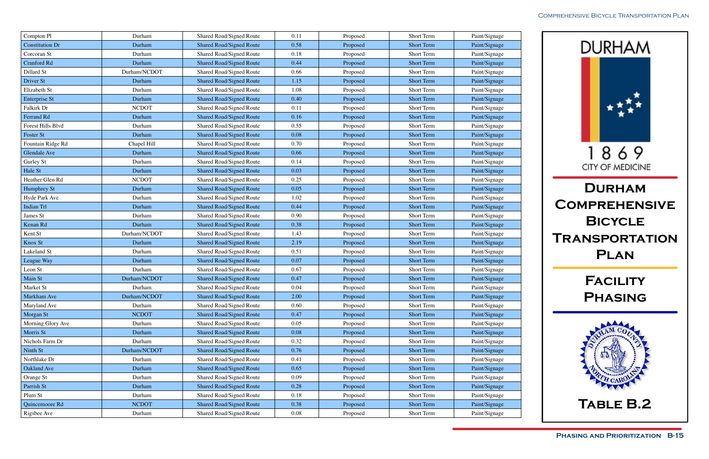

| Compton Pl             | Durham       | Shared Road/Signed Route        | 0.11     | Proposed | Short Term        | Paint/Signage |
|------------------------|--------------|---------------------------------|----------|----------|-------------------|---------------|
| <b>Constitution Dr</b> | Durham       | <b>Shared Road/Signed Route</b> | 0.58     | Proposed | <b>Short Term</b> | Paint/Signage |
| Corcoran St            | Durham       | Shared Road/Signed Route        | 0.18     | Proposed | Short Term        | Paint/Signage |
| <b>Cranford Rd</b>     | Durham       | <b>Shared Road/Signed Route</b> | 0.44     | Proposed | <b>Short Term</b> | Paint/Signage |
| Dillard St             | Durham/NCDOT | Shared Road/Signed Route        | 0.66     | Proposed | Short Term        | Paint/Signage |
| Driver St              | Durham       | <b>Shared Road/Signed Route</b> | 1.15     | Proposed | <b>Short Term</b> | Paint/Signage |
| Elizabeth St           | Durham       | Shared Road/Signed Route        | 1.08     | Proposed | Short Term        | Paint/Signage |
| <b>Enterprise St</b>   | Durham       | <b>Shared Road/Signed Route</b> | 0.40     | Proposed | <b>Short Term</b> | Paint/Signage |
| Falkirk Dr             | <b>NCDOT</b> | Shared Road/Signed Route        | 0.11     | Proposed | Short Term        | Paint/Signage |
| Ferrand Rd             | Durham       | <b>Shared Road/Signed Route</b> | 0.16     | Proposed | <b>Short Term</b> | Paint/Signage |
| Forest Hills Blvd      | Durham       | Shared Road/Signed Route        | 0.55     | Proposed | Short Term        | Paint/Signage |
| Foster St              | Durham       | <b>Shared Road/Signed Route</b> | 0.08     | Proposed | <b>Short Term</b> | Paint/Signage |
| Fountain Ridge Rd      | Chapel Hill  | Shared Road/Signed Route        | 0.70     | Proposed | Short Term        | Paint/Signage |
| <b>Glendale Ave</b>    | Durham       | <b>Shared Road/Signed Route</b> | 0.66     | Proposed | <b>Short Term</b> | Paint/Signage |
| Gurley St              | Durham       | Shared Road/Signed Route        | 0.14     | Proposed | Short Term        | Paint/Signage |
| Hale St                | Durham       | <b>Shared Road/Signed Route</b> | 0.03     | Proposed | <b>Short Term</b> | Paint/Signage |
| Heather Glen Rd        | <b>NCDOT</b> | Shared Road/Signed Route        | 0.25     | Proposed | Short Term        | Paint/Signage |
| Humphrey St            | Durham       | <b>Shared Road/Signed Route</b> | 0.05     | Proposed | <b>Short Term</b> | Paint/Signage |
| Hyde Park Ave          | Durham       | Shared Road/Signed Route        | 1.02     | Proposed | Short Term        | Paint/Signage |
| <b>Indian Trl</b>      | Durham       | <b>Shared Road/Signed Route</b> | 0.44     | Proposed | <b>Short Term</b> | Paint/Signage |
| James St               | Durham       | Shared Road/Signed Route        | 0.90     | Proposed | Short Term        | Paint/Signage |
| Kenan Rd               | Durham       | <b>Shared Road/Signed Route</b> | 0.38     | Proposed | <b>Short Term</b> | Paint/Signage |
| Kent St                | Durham/NCDOT | Shared Road/Signed Route        | 1.43     | Proposed | Short Term        | Paint/Signage |
| Knox St                | Durham       | <b>Shared Road/Signed Route</b> | 2.19     | Proposed | <b>Short Term</b> | Paint/Signage |
| Lakeland St            | Durham       | Shared Road/Signed Route        | 0.51     | Proposed | Short Term        | Paint/Signage |
| League Way             | Durham       | <b>Shared Road/Signed Route</b> | 0.07     | Proposed | <b>Short Term</b> | Paint/Signage |
| Leon St                | Durham       | Shared Road/Signed Route        | 0.67     | Proposed | Short Term        | Paint/Signage |
| Main St                | Durham/NCDOT | <b>Shared Road/Signed Route</b> | 0.47     | Proposed | <b>Short Term</b> | Paint/Signage |
| Market St              | Durham       | Shared Road/Signed Route        | 0.04     | Proposed | Short Term        | Paint/Signage |
| Markham Ave            | Durham/NCDOT | <b>Shared Road/Signed Route</b> | 2.00     | Proposed | <b>Short Term</b> | Paint/Signage |
| Maryland Ave           | Durham       | Shared Road/Signed Route        | 0.60     | Proposed | Short Term        | Paint/Signage |
| Morgan St              | <b>NCDOT</b> | <b>Shared Road/Signed Route</b> | 0.47     | Proposed | <b>Short Term</b> | Paint/Signage |
| Morning Glory Ave      | Durham       | Shared Road/Signed Route        | 0.05     | Proposed | Short Term        | Paint/Signage |
| Morris St              | Durham       | <b>Shared Road/Signed Route</b> | 0.08     | Proposed | <b>Short Term</b> | Paint/Signage |
| Nichols Farm Dr        | Durham       | Shared Road/Signed Route        | 0.32     | Proposed | Short Term        | Paint/Signage |
| Ninth St               | Durham/NCDOT | <b>Shared Road/Signed Route</b> | 0.76     | Proposed | <b>Short Term</b> | Paint/Signage |
| Northlake Dr           | Durham       | Shared Road/Signed Route        | 0.41     | Proposed | Short Term        | Paint/Signage |
| <b>Oakland Ave</b>     | Durham       | <b>Shared Road/Signed Route</b> | 0.65     | Proposed | <b>Short Term</b> | Paint/Signage |
| Orange St              | Durham       | Shared Road/Signed Route        | 0.09     | Proposed | Short Term        | Paint/Signage |
| Parrish St             | Durham       | <b>Shared Road/Signed Route</b> | 0.28     | Proposed | <b>Short Term</b> | Paint/Signage |
| Plum St                | Durham       | Shared Road/Signed Route        | $0.18\,$ | Proposed | Short Term        | Paint/Signage |
| Quincemoore Rd         | <b>NCDOT</b> | <b>Shared Road/Signed Route</b> | 0.38     | Proposed | <b>Short Term</b> | Paint/Signage |
| Rigsbee Ave            | Durham       | Shared Road/Signed Route        | $0.08\,$ | Proposed | Short Term        | Paint/Signage |